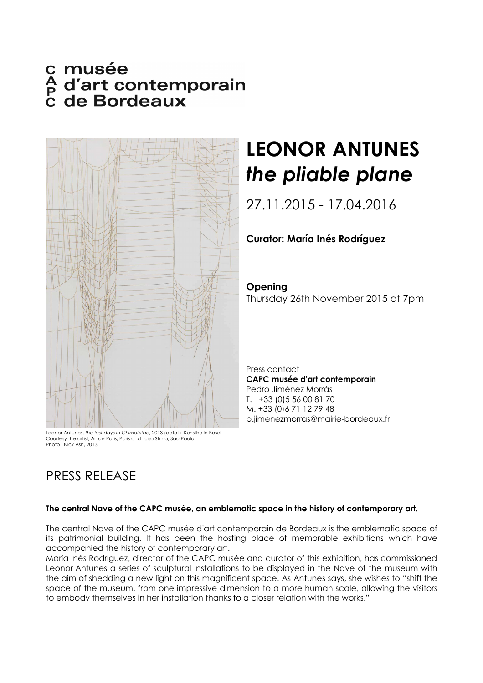# c musée<br>A d'art contemporain<br>C de Bordeaux



Courtesy the artist, Air de Paris, Paris and Luisa Strina, Sao Paulo. Photo : Nick Ash, 2013

## PRESS RELEASE

# **LEONOR ANTUNES**  *the pliable plane*

27.11.2015 - 17.04.2016

### **Curator: María Inés Rodríguez**

**Opening**  Thursday 26th November 2015 at 7pm

Press contact **CAPC musée d'art contemporain**  Pedro Jiménez Morrás T. +33 (0)5 56 00 81 70 M. +33 (0)6 71 12 79 48 p.jimenezmorras@mairie-bordeaux.fr

#### **The central Nave of the CAPC musée, an emblematic space in the history of contemporary art.**

The central Nave of the CAPC musée d'art contemporain de Bordeaux is the emblematic space of its patrimonial building. It has been the hosting place of memorable exhibitions which have accompanied the history of contemporary art.

María Inés Rodríguez, director of the CAPC musée and curator of this exhibition, has commissioned Leonor Antunes a series of sculptural installations to be displayed in the Nave of the museum with the aim of shedding a new light on this magnificent space. As Antunes says, she wishes to "shift the space of the museum, from one impressive dimension to a more human scale, allowing the visitors to embody themselves in her installation thanks to a closer relation with the works."